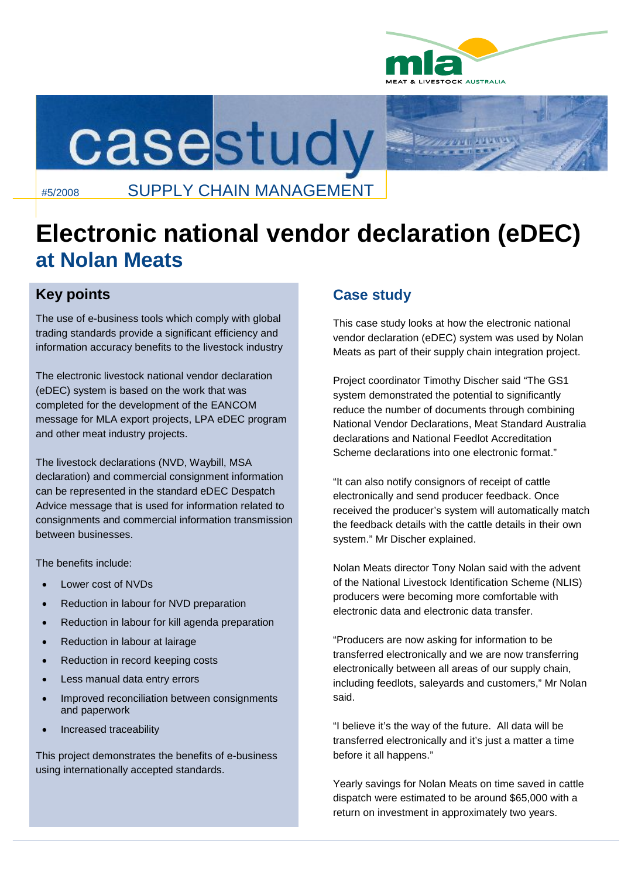



## #5/2008 SUPPLY CHAIN MANAGEMENT

# **Electronic national vendor declaration (eDEC) at Nolan Meats**

### **Key points**

The use of e-business tools which comply with global trading standards provide a significant efficiency and information accuracy benefits to the livestock industry

The electronic livestock national vendor declaration (eDEC) system is based on the work that was completed for the development of the EANCOM message for MLA export projects, LPA eDEC program and other meat industry projects.

The livestock declarations (NVD, Waybill, MSA declaration) and commercial consignment information can be represented in the standard eDEC Despatch Advice message that is used for information related to consignments and commercial information transmission between businesses.

The benefits include:

- Lower cost of NVDs
- Reduction in labour for NVD preparation
- Reduction in labour for kill agenda preparation
- Reduction in labour at lairage
- Reduction in record keeping costs
- Less manual data entry errors
- Improved reconciliation between consignments and paperwork
- Increased traceability

This project demonstrates the benefits of e-business using internationally accepted standards.

### **Case study**

This case study looks at how the electronic national vendor declaration (eDEC) system was used by Nolan Meats as part of their supply chain integration project.

Project coordinator Timothy Discher said "The GS1 system demonstrated the potential to significantly reduce the number of documents through combining National Vendor Declarations, Meat Standard Australia declarations and National Feedlot Accreditation Scheme declarations into one electronic format."

"It can also notify consignors of receipt of cattle electronically and send producer feedback. Once received the producer's system will automatically match the feedback details with the cattle details in their own system." Mr Discher explained.

Nolan Meats director Tony Nolan said with the advent of the National Livestock Identification Scheme (NLIS) producers were becoming more comfortable with electronic data and electronic data transfer.

"Producers are now asking for information to be transferred electronically and we are now transferring electronically between all areas of our supply chain, including feedlots, saleyards and customers," Mr Nolan said.

"I believe it's the way of the future. All data will be transferred electronically and it's just a matter a time before it all happens."

Yearly savings for Nolan Meats on time saved in cattle dispatch were estimated to be around \$65,000 with a return on investment in approximately two years.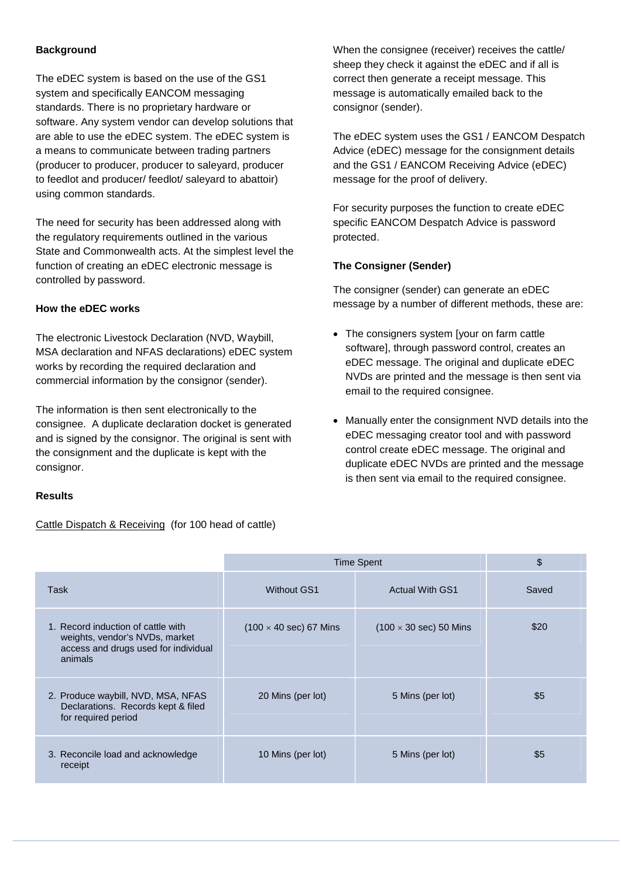#### **Background**

The eDEC system is based on the use of the GS1 system and specifically EANCOM messaging standards. There is no proprietary hardware or software. Any system vendor can develop solutions that are able to use the eDEC system. The eDEC system is a means to communicate between trading partners (producer to producer, producer to saleyard, producer to feedlot and producer/ feedlot/ saleyard to abattoir) using common standards.

The need for security has been addressed along with the regulatory requirements outlined in the various State and Commonwealth acts. At the simplest level the function of creating an eDEC electronic message is controlled by password.

#### **How the eDEC works**

The electronic Livestock Declaration (NVD, Waybill, MSA declaration and NFAS declarations) eDEC system works by recording the required declaration and commercial information by the consignor (sender).

The information is then sent electronically to the consignee. A duplicate declaration docket is generated and is signed by the consignor. The original is sent with the consignment and the duplicate is kept with the consignor.

#### **Results**

Cattle Dispatch & Receiving (for 100 head of cattle)

When the consignee (receiver) receives the cattle/ sheep they check it against the eDEC and if all is correct then generate a receipt message. This message is automatically emailed back to the consignor (sender).

The eDEC system uses the GS1 / EANCOM Despatch Advice (eDEC) message for the consignment details and the GS1 / EANCOM Receiving Advice (eDEC) message for the proof of delivery.

For security purposes the function to create eDEC specific EANCOM Despatch Advice is password protected.

#### **The Consigner (Sender)**

The consigner (sender) can generate an eDEC message by a number of different methods, these are:

- The consigners system [your on farm cattle software], through password control, creates an eDEC message. The original and duplicate eDEC NVDs are printed and the message is then sent via email to the required consignee.
- Manually enter the consignment NVD details into the eDEC messaging creator tool and with password control create eDEC message. The original and duplicate eDEC NVDs are printed and the message is then sent via email to the required consignee.

|                                                                                                                         | <b>Time Spent</b>                     |                                       | \$    |
|-------------------------------------------------------------------------------------------------------------------------|---------------------------------------|---------------------------------------|-------|
| <b>Task</b>                                                                                                             | <b>Without GS1</b>                    | <b>Actual With GS1</b>                | Saved |
| 1. Record induction of cattle with<br>weights, vendor's NVDs, market<br>access and drugs used for individual<br>animals | $(100 \times 40 \text{ sec})$ 67 Mins | $(100 \times 30 \text{ sec})$ 50 Mins | \$20  |
| 2. Produce waybill, NVD, MSA, NFAS<br>Declarations. Records kept & filed<br>for required period                         | 20 Mins (per lot)                     | 5 Mins (per lot)                      | \$5   |
| 3. Reconcile load and acknowledge<br>receipt                                                                            | 10 Mins (per lot)                     | 5 Mins (per lot)                      | \$5   |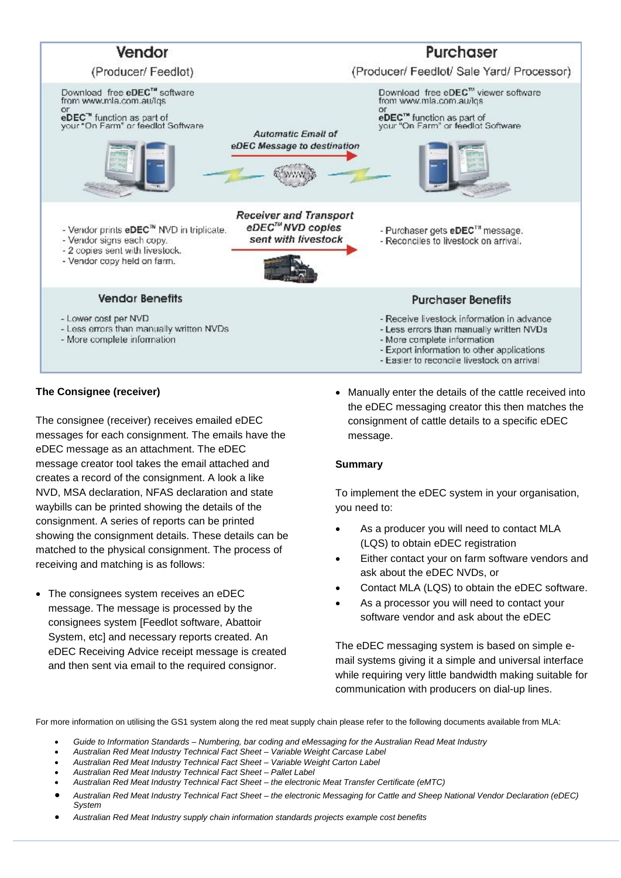

#### **The Consignee (receiver)**

The consignee (receiver) receives emailed eDEC messages for each consignment. The emails have the eDEC message as an attachment. The eDEC message creator tool takes the email attached and creates a record of the consignment. A look a like NVD, MSA declaration, NFAS declaration and state waybills can be printed showing the details of the consignment. A series of reports can be printed showing the consignment details. These details can be matched to the physical consignment. The process of receiving and matching is as follows:

• The consignees system receives an eDEC message. The message is processed by the consignees system [Feedlot software, Abattoir System, etc] and necessary reports created. An eDEC Receiving Advice receipt message is created and then sent via email to the required consignor.

 Manually enter the details of the cattle received into the eDEC messaging creator this then matches the consignment of cattle details to a specific eDEC message.

#### **Summary**

To implement the eDEC system in your organisation, you need to:

- As a producer you will need to contact MLA (LQS) to obtain eDEC registration
- Either contact your on farm software vendors and ask about the eDEC NVDs, or
- Contact MLA (LQS) to obtain the eDEC software.
- As a processor you will need to contact your software vendor and ask about the eDEC

The eDEC messaging system is based on simple email systems giving it a simple and universal interface while requiring very little bandwidth making suitable for communication with producers on dial-up lines.

For more information on utilising the GS1 system along the red meat supply chain please refer to the following documents available from MLA:

- *Guide to Information Standards Numbering, bar coding and eMessaging for the Australian Read Meat Industry*
- *Australian Red Meat Industry Technical Fact Sheet Variable Weight Carcase Label*
- *Australian Red Meat Industry Technical Fact Sheet Variable Weight Carton Label*
- *Australian Red Meat Industry Technical Fact Sheet Pallet Label*
- *Australian Red Meat Industry Technical Fact Sheet the electronic Meat Transfer Certificate (eMTC)*
	- *Australian Red Meat Industry Technical Fact Sheet the electronic Messaging for Cattle and Sheep National Vendor Declaration (eDEC) System*
- *Australian Red Meat Industry supply chain information standards projects example cost benefits*